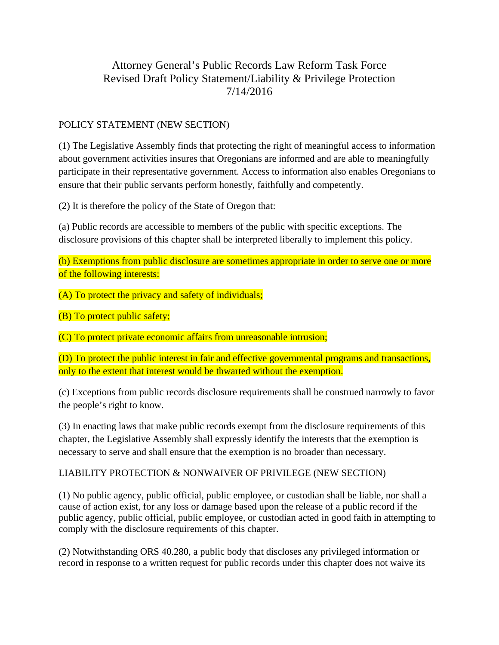## Attorney General's Public Records Law Reform Task Force Revised Draft Policy Statement/Liability & Privilege Protection 7/14/2016

## POLICY STATEMENT (NEW SECTION)

(1) The Legislative Assembly finds that protecting the right of meaningful access to information about government activities insures that Oregonians are informed and are able to meaningfully participate in their representative government. Access to information also enables Oregonians to ensure that their public servants perform honestly, faithfully and competently.

(2) It is therefore the policy of the State of Oregon that:

(a) Public records are accessible to members of the public with specific exceptions. The disclosure provisions of this chapter shall be interpreted liberally to implement this policy.

(b) Exemptions from public disclosure are sometimes appropriate in order to serve one or more of the following interests:

(A) To protect the privacy and safety of individuals;

(B) To protect public safety;

(C) To protect private economic affairs from unreasonable intrusion;

(D) To protect the public interest in fair and effective governmental programs and transactions, only to the extent that interest would be thwarted without the exemption.

(c) Exceptions from public records disclosure requirements shall be construed narrowly to favor the people's right to know.

(3) In enacting laws that make public records exempt from the disclosure requirements of this chapter, the Legislative Assembly shall expressly identify the interests that the exemption is necessary to serve and shall ensure that the exemption is no broader than necessary.

## LIABILITY PROTECTION & NONWAIVER OF PRIVILEGE (NEW SECTION)

(1) No public agency, public official, public employee, or custodian shall be liable, nor shall a cause of action exist, for any loss or damage based upon the release of a public record if the public agency, public official, public employee, or custodian acted in good faith in attempting to comply with the disclosure requirements of this chapter.

(2) Notwithstanding ORS 40.280, a public body that discloses any privileged information or record in response to a written request for public records under this chapter does not waive its